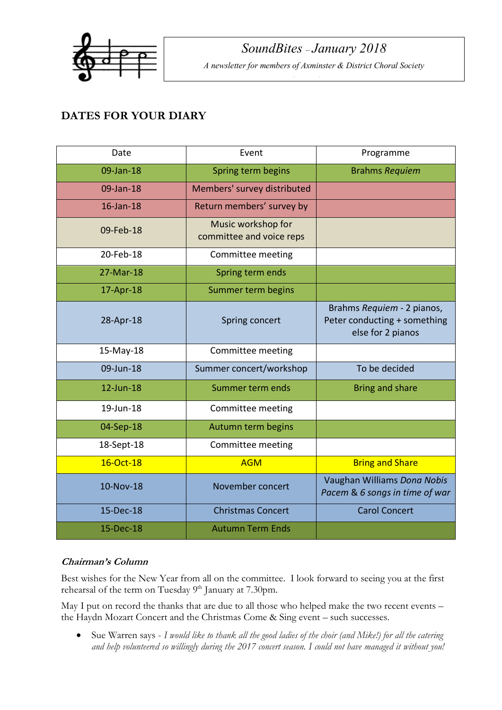

*Editor Mike King*

# **DATES FOR YOUR DIARY**

| Date       | Event                                          | Programme                                                                       |
|------------|------------------------------------------------|---------------------------------------------------------------------------------|
| 09-Jan-18  | Spring term begins                             | <b>Brahms Requiem</b>                                                           |
| 09-Jan-18  | Members' survey distributed                    |                                                                                 |
| 16-Jan-18  | Return members' survey by                      |                                                                                 |
| 09-Feb-18  | Music workshop for<br>committee and voice reps |                                                                                 |
| 20-Feb-18  | Committee meeting                              |                                                                                 |
| 27-Mar-18  | Spring term ends                               |                                                                                 |
| 17-Apr-18  | Summer term begins                             |                                                                                 |
| 28-Apr-18  | Spring concert                                 | Brahms Requiem - 2 pianos,<br>Peter conducting + something<br>else for 2 pianos |
| 15-May-18  | Committee meeting                              |                                                                                 |
| 09-Jun-18  | Summer concert/workshop                        | To be decided                                                                   |
| 12-Jun-18  | Summer term ends                               | <b>Bring and share</b>                                                          |
| 19-Jun-18  | Committee meeting                              |                                                                                 |
| 04-Sep-18  | Autumn term begins                             |                                                                                 |
| 18-Sept-18 | Committee meeting                              |                                                                                 |
| 16-Oct-18  | <b>AGM</b>                                     | <b>Bring and Share</b>                                                          |
| 10-Nov-18  | November concert                               | Vaughan Williams Dona Nobis<br>Pacem & 6 songs in time of war                   |
| 15-Dec-18  | <b>Christmas Concert</b>                       | <b>Carol Concert</b>                                                            |
| 15-Dec-18  | <b>Autumn Term Ends</b>                        |                                                                                 |

## **Chairman's Column**

Best wishes for the New Year from all on the committee. I look forward to seeing you at the first rehearsal of the term on Tuesday 9<sup>th</sup> January at 7.30pm.

May I put on record the thanks that are due to all those who helped make the two recent events – the Haydn Mozart Concert and the Christmas Come & Sing event – such successes.

• Sue Warren says - *I would like to thank all the good ladies of the choir (and Mike!) for all the catering and help volunteered so willingly during the 2017 concert season. I could not have managed it without you!*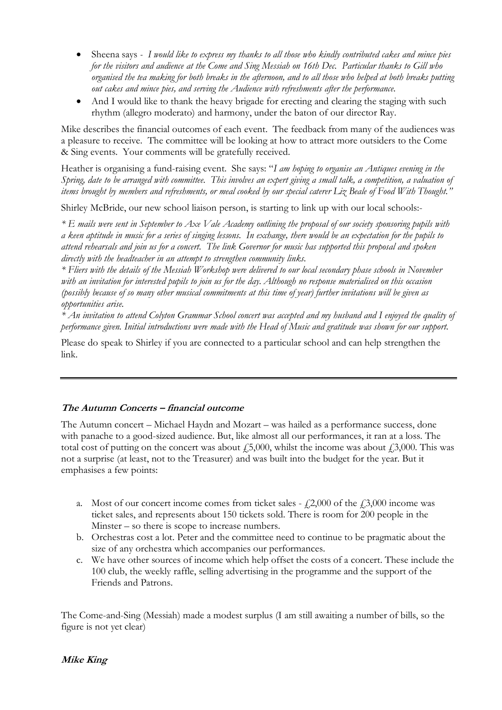- Sheena says *- I would like to express my thanks to all those who kindly contributed cakes and mince pies for the visitors and audience at the Come and Sing Messiah on 16th Dec. Particular thanks to Gill who organised the tea making for both breaks in the afternoon, and to all those who helped at both breaks putting out cakes and mince pies, and serving the Audience with refreshments after the performance.*
- And I would like to thank the heavy brigade for erecting and clearing the staging with such rhythm (allegro moderato) and harmony, under the baton of our director Ray.

Mike describes the financial outcomes of each event. The feedback from many of the audiences was a pleasure to receive. The committee will be looking at how to attract more outsiders to the Come & Sing events. Your comments will be gratefully received.

Heather is organising a fund-raising event. She says: "*I am hoping to organise an Antiques evening in the Spring, date to be arranged with committee. This involves an expert giving a small talk, a competition, a valuation of items brought by members and refreshments, or meal cooked by our special caterer Liz Beale of Food With Thought."*

Shirley McBride, our new school liaison person, is starting to link up with our local schools:-

*\* E mails were sent in September to Axe Vale Academy outlining the proposal of our society sponsoring pupils with a keen aptitude in music for a series of singing lessons. In exchange, there would be an expectation for the pupils to attend rehearsals and join us for a concert. The link Governor for music has supported this proposal and spoken directly with the headteacher in an attempt to strengthen community links.*

*\* Fliers with the details of the Messiah Workshop were delivered to our local secondary phase schools in November with an invitation for interested pupils to join us for the day. Although no response materialised on this occasion (possibly because of so many other musical commitments at this time of year) further invitations will be given as opportunities arise.*

*\* An invitation to attend Colyton Grammar School concert was accepted and my husband and I enjoyed the quality of performance given. Initial introductions were made with the Head of Music and gratitude was shown for our support.*

Please do speak to Shirley if you are connected to a particular school and can help strengthen the link.

## **The Autumn Concerts – financial outcome**

The Autumn concert – Michael Haydn and Mozart – was hailed as a performance success, done with panache to a good-sized audience. But, like almost all our performances, it ran at a loss. The total cost of putting on the concert was about  $\ddot{F}$ ,000, whilst the income was about  $\ddot{F}$ ,000. This was not a surprise (at least, not to the Treasurer) and was built into the budget for the year. But it emphasises a few points:

- a. Most of our concert income comes from ticket sales  $\dot{\ell}2,000$  of the  $\dot{\ell}3,000$  income was ticket sales, and represents about 150 tickets sold. There is room for 200 people in the Minster – so there is scope to increase numbers.
- b. Orchestras cost a lot. Peter and the committee need to continue to be pragmatic about the size of any orchestra which accompanies our performances.
- c. We have other sources of income which help offset the costs of a concert. These include the 100 club, the weekly raffle, selling advertising in the programme and the support of the Friends and Patrons.

The Come-and-Sing (Messiah) made a modest surplus (I am still awaiting a number of bills, so the figure is not yet clear)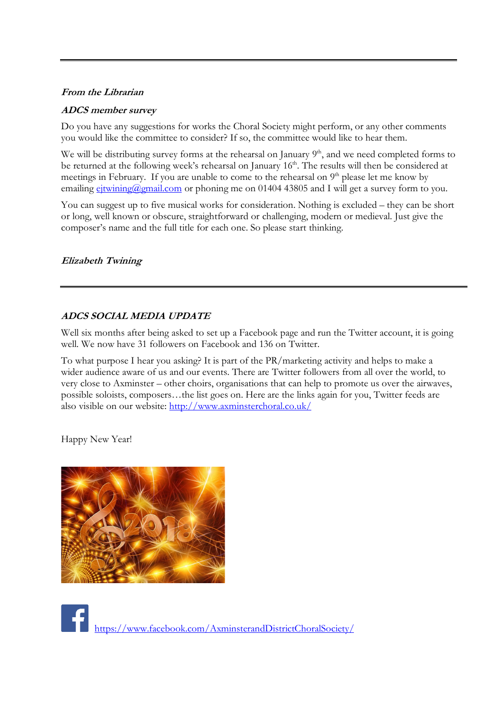#### **From the Librarian**

#### **ADCS member survey**

Do you have any suggestions for works the Choral Society might perform, or any other comments you would like the committee to consider? If so, the committee would like to hear them.

We will be distributing survey forms at the rehearsal on January  $9<sup>th</sup>$ , and we need completed forms to be returned at the following week's rehearsal on January 16<sup>th</sup>. The results will then be considered at meetings in February. If you are unable to come to the rehearsal on  $9<sup>th</sup>$  please let me know by emailing ejtwining@gmail.com or phoning me on 01404 43805 and I will get a survey form to you.

You can suggest up to five musical works for consideration. Nothing is excluded – they can be short or long, well known or obscure, straightforward or challenging, modern or medieval. Just give the composer's name and the full title for each one. So please start thinking.

#### **Elizabeth Twining**

### **ADCS SOCIAL MEDIA UPDATE**

Well six months after being asked to set up a Facebook page and run the Twitter account, it is going well. We now have 31 followers on Facebook and 136 on Twitter.

To what purpose I hear you asking? It is part of the PR/marketing activity and helps to make a wider audience aware of us and our events. There are Twitter followers from all over the world, to very close to Axminster – other choirs, organisations that can help to promote us over the airwaves, possible soloists, composers…the list goes on. Here are the links again for you, Twitter feeds are also visible on our website: http://www.axminsterchoral.co.uk/

Happy New Year!